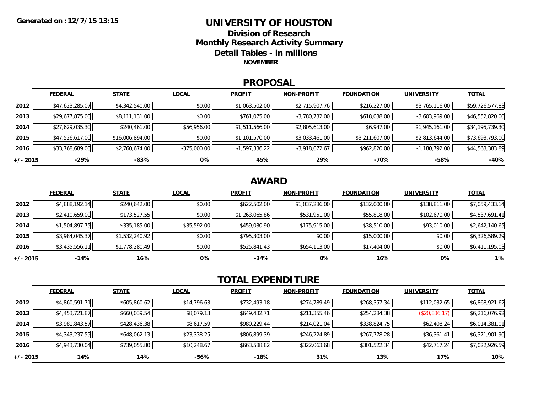### **UNIVERSITY OF HOUSTONDivision of ResearchMonthly Research Activity Summary Detail Tables - in millions NOVEMBER**

### **PROPOSAL**

|            | <b>FEDERAL</b>  | <b>STATE</b>    | <b>LOCAL</b> | <b>PROFIT</b>  | <b>NON-PROFIT</b> | <b>FOUNDATION</b> | <b>UNIVERSITY</b> | <u>TOTAL</u>    |
|------------|-----------------|-----------------|--------------|----------------|-------------------|-------------------|-------------------|-----------------|
| 2012       | \$47,623,285.07 | \$4,342,540.00  | \$0.00       | \$1,063,502.00 | \$2,715,907.76    | \$216,227.00      | \$3,765,116.00    | \$59,726,577.83 |
| 2013       | \$29,677,875.00 | \$8,111,131.00  | \$0.00       | \$761,075.00   | \$3,780,732.00    | \$618,038.00      | \$3,603,969.00    | \$46,552,820.00 |
| 2014       | \$27,629,035.30 | \$240,461.00    | \$56,956.00  | \$1,511,566.00 | \$2,805,613.00    | \$6,947.00        | \$1,945,161.00    | \$34,195,739.30 |
| 2015       | \$47,526,617.00 | \$16,006,894.00 | \$0.00       | \$1,101,570.00 | \$3,033,461.00    | \$3,211,607.00    | \$2,813,644.00    | \$73,693,793.00 |
| 2016       | \$33,768,689.00 | \$2,760,674.00  | \$375,000.00 | \$1,597,336.22 | \$3,918,072.67    | \$962,820.00      | \$1,180,792.00    | \$44,563,383.89 |
| $+/- 2015$ | $-29%$          | -83%            | 0%           | 45%            | 29%               | -70%              | $-58%$            | $-40%$          |

## **AWARD**

|          | <b>FEDERAL</b> | <b>STATE</b>   | <b>LOCAL</b> | <b>PROFIT</b>  | <b>NON-PROFIT</b> | <b>FOUNDATION</b> | <b>UNIVERSITY</b> | <u>TOTAL</u>   |
|----------|----------------|----------------|--------------|----------------|-------------------|-------------------|-------------------|----------------|
| 2012     | \$4,888,192.14 | \$240,642.00   | \$0.00       | \$622,502.00   | \$1,037,286.00    | \$132,000.00      | \$138,811.00      | \$7,059,433.14 |
| 2013     | \$2,410,659.00 | \$173,527.55   | \$0.00       | \$1,263,065.86 | \$531,951.00      | \$55,818.00       | \$102,670.00      | \$4,537,691.41 |
| 2014     | \$1,504,897.75 | \$335,185.00   | \$35,592.00  | \$459,030.90   | \$175,915.00      | \$38,510.00       | \$93,010.00       | \$2,642,140.65 |
| 2015     | \$3,984,045.37 | \$1,532,240.92 | \$0.00       | \$795,303.00   | \$0.00            | \$15,000.00       | \$0.00            | \$6,326,589.29 |
| 2016     | \$3,435,556.11 | \$1,778,280.49 | \$0.00       | \$525,841.43   | \$654,113.00      | \$17,404.00       | \$0.00            | \$6,411,195.03 |
| +/- 2015 | $-14%$         | 16%            | 0%           | $-34%$         | 0%                | 16%               | 0%                | 1%             |

# **TOTAL EXPENDITURE**

|          | <b>FEDERAL</b> | <b>STATE</b> | <b>LOCAL</b> | <b>PROFIT</b> | <b>NON-PROFIT</b> | <b>FOUNDATION</b> | <b>UNIVERSITY</b> | <b>TOTAL</b>   |
|----------|----------------|--------------|--------------|---------------|-------------------|-------------------|-------------------|----------------|
| 2012     | \$4,860,591.71 | \$605,860.62 | \$14,796.63  | \$732,493.18  | \$274,789.49      | \$268,357.34      | \$112,032.65      | \$6,868,921.62 |
| 2013     | \$4,453,721.87 | \$660,039.54 | \$8,079.13   | \$649,432.71  | \$211,355.46      | \$254,284.38      | (\$20,836.17)     | \$6,216,076.92 |
| 2014     | \$3,981,843.57 | \$428,436.38 | \$8,617.59   | \$980,229.44  | \$214,021.04      | \$338,824.75      | \$62,408.24       | \$6,014,381.01 |
| 2015     | \$4,343,237.55 | \$648,062.13 | \$23,338.25  | \$806,899.39  | \$246,224.89      | \$267,778.28      | \$36,361.41       | \$6,371,901.90 |
| 2016     | \$4,943,730.04 | \$739,055.80 | \$10,248.67  | \$663,588.82  | \$322,063.68      | \$301,522.34      | \$42,717.24       | \$7,022,926.59 |
| +/- 2015 | 14%            | 14%          | -56%         | -18%          | 31%               | 13%               | 17%               | 10%            |